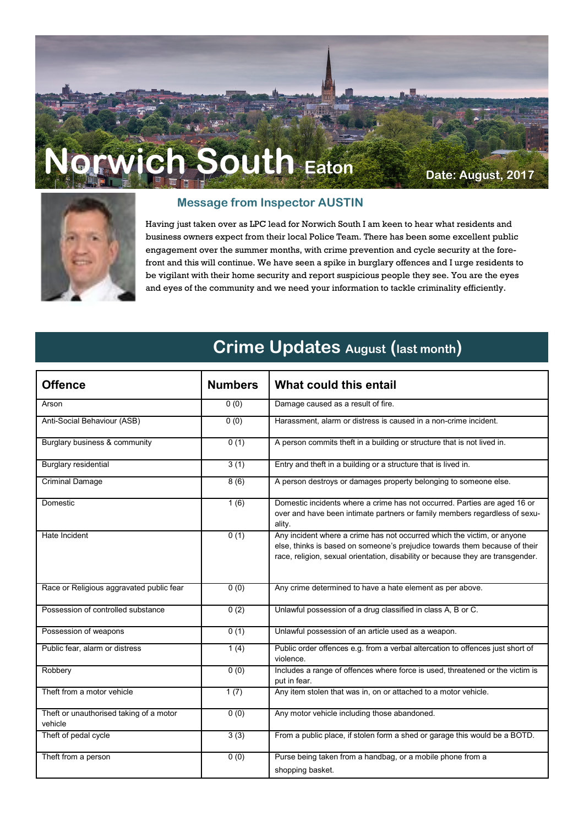# **Norwich South Eaton Date: August, 2017**



#### **Message from Inspector AUSTIN**

Having just taken over as LPC lead for Norwich South I am keen to hear what residents and business owners expect from their local Police Team. There has been some excellent public engagement over the summer months, with crime prevention and cycle security at the forefront and this will continue. We have seen a spike in burglary offences and I urge residents to be vigilant with their home security and report suspicious people they see. You are the eyes and eyes of the community and we need your information to tackle criminality efficiently.

### **Crime Updates August (last month)**

| <b>Offence</b>                                     | <b>Numbers</b> | What could this entail                                                                                                                                                                                                                   |
|----------------------------------------------------|----------------|------------------------------------------------------------------------------------------------------------------------------------------------------------------------------------------------------------------------------------------|
| Arson                                              | 0(0)           | Damage caused as a result of fire.                                                                                                                                                                                                       |
| Anti-Social Behaviour (ASB)                        | 0(0)           | Harassment, alarm or distress is caused in a non-crime incident.                                                                                                                                                                         |
| Burglary business & community                      | 0(1)           | A person commits theft in a building or structure that is not lived in.                                                                                                                                                                  |
| <b>Burglary residential</b>                        | 3(1)           | Entry and theft in a building or a structure that is lived in.                                                                                                                                                                           |
| <b>Criminal Damage</b>                             | 8(6)           | A person destroys or damages property belonging to someone else.                                                                                                                                                                         |
| Domestic                                           | 1(6)           | Domestic incidents where a crime has not occurred. Parties are aged 16 or<br>over and have been intimate partners or family members regardless of sexu-<br>ality.                                                                        |
| Hate Incident                                      | 0(1)           | Any incident where a crime has not occurred which the victim, or anyone<br>else, thinks is based on someone's prejudice towards them because of their<br>race, religion, sexual orientation, disability or because they are transgender. |
| Race or Religious aggravated public fear           | 0(0)           | Any crime determined to have a hate element as per above.                                                                                                                                                                                |
| Possession of controlled substance                 | 0(2)           | Unlawful possession of a drug classified in class A, B or C.                                                                                                                                                                             |
| Possession of weapons                              | 0(1)           | Unlawful possession of an article used as a weapon.                                                                                                                                                                                      |
| Public fear, alarm or distress                     | 1(4)           | Public order offences e.g. from a verbal altercation to offences just short of<br>violence.                                                                                                                                              |
| Robbery                                            | 0(0)           | Includes a range of offences where force is used, threatened or the victim is<br>put in fear.                                                                                                                                            |
| Theft from a motor vehicle                         | 1(7)           | Any item stolen that was in, on or attached to a motor vehicle.                                                                                                                                                                          |
| Theft or unauthorised taking of a motor<br>vehicle | 0(0)           | Any motor vehicle including those abandoned.                                                                                                                                                                                             |
| Theft of pedal cycle                               | 3(3)           | From a public place, if stolen form a shed or garage this would be a BOTD.                                                                                                                                                               |
| Theft from a person                                | 0(0)           | Purse being taken from a handbag, or a mobile phone from a                                                                                                                                                                               |
|                                                    |                | shopping basket.                                                                                                                                                                                                                         |